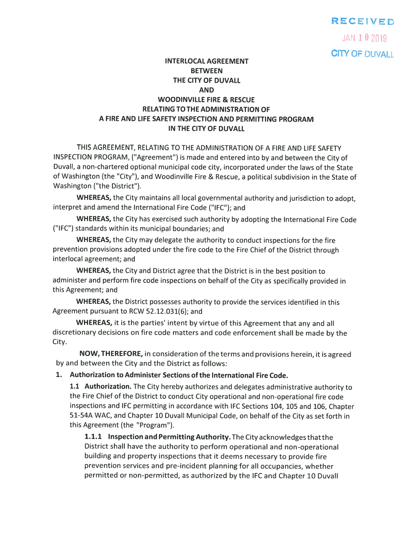### RECEIVED

JAN 102019 **CITY OF DUVALL** 

# INTERLOCAL AGREEMENT BETWEEN THE CITY OF DUVALL AND WOODINVILLE FIRE & RESCUE RELATING TOTHE ADMINISTRATION OF A FIRE AND LIFE SAFETY INSPECTION AND PERMITTING PROGRAM IN THE CITY OF DUVALL

THIS AGREEMENT, RELATING TO THE ADMINISTRATION OF A FIRE AND LIFE SAFETY INSPECTION PROGRAM, ("Agreement") is made and entered into by and between the City of Duvall, <sup>a</sup> non-chartered optional municipal code city, incorporated under the laws of the State of Washington (the "City"), and Woodinville Fire & Rescue, <sup>a</sup> political subdivision in the State of Washington ("the District").

WHEREAS, the City maintains all local governmental authority and jurisdiction to adopt, interpret and amend the International Fire Code ("IFC"); and

WHEREAS, the City has exercised such authority by adopting the International Fire Code ("IFC") standards within its municipal boundaries; and

WHEREAS, the City may delegate the authority to conduct inspections for the fire prevention provisions adopted under the fire code to the Fire Chief of the District through interlocal agreement; and

WHEREAS, the City and District agree that the District is in the best position to administer and perform fire code inspections on behalf of the City as specifically provided in this Agreement; and

WHEREAS, the District possesses authority to provide the services identified in this Agreement pursuan<sup>t</sup> to RCW 52.12.031(6); and

WHEREAS, it is the parties' intent by virtue of this Agreement that any and all discretionary decisions on fire code matters and code enforcement shall be made by the City.

NOW, THEREFORE, in consideration of the terms and provisions herein, it is agree<sup>d</sup> by and between the City and the District as follows:

1. Authorization to Administer Sections ofthe International Fire Code.

1.1 Authorization. The City hereby authorizes and delegates administrative authority to the Fire Chief of the District to conduct City operational and non-operational fire code inspections and IFC permitting in accordance with IFC Sections 104, <sup>105</sup> and 106, Chapter 51-54A WAC, and Chapter <sup>10</sup> Duvall Municipal Code, on behalf of the City as set forth in this Agreement (the "Program").

1.1.1 Inspection and Permitting Authority. The City acknowledges that the District shall have the authority to perform operational and non-operational building and property inspections that it deems necessary to provide fire prevention services and pre-incident <sup>p</sup>lanning for all occupancies, whether permitted or non-permitted, as authorized by the IFC and Chapter <sup>10</sup> Duvall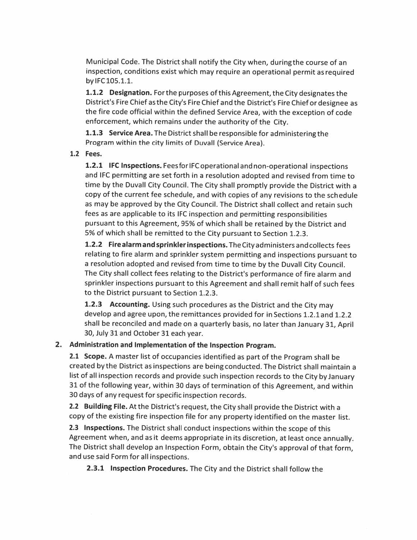Municipal Code. The District shall notify the City when, duringthe course of an inspection, conditions exist which may require an operational permit as required by IFC 105.1.1.

1.1.2 Designation. For the purposes of this Agreement, the City designates the District's Fire Chief asthe City's Fire Chief and the District's Fire Chief or designee as the fire code official within the defined Service Area, with the exception of code enforcement, which remains under the authority of the City.

**1.1.3 Service Area.** The District shall be responsible for administering the Program within the city limits of Duvall (Service Area).

#### 1.2 Fees.

1.2.1 IFC Inspections. FeesforlFC operational and non-operational inspections and IFC permitting are set forth in <sup>a</sup> resolution adopted and revised from time to time by the Duvall City Council. The City shall promptly provide the District with <sup>a</sup> copy of the current fee schedule, and with copies of any revisions to the schedule as may be approved by the City Council. The District shall collect and retain such fees as are applicable to its IFC inspection and permitting responsibilities pursuan<sup>t</sup> to this Agreement, 95% of which shall be retained by the District and 5% of which shall be remitted to the City pursuan<sup>t</sup> to Section 1.2.3.

1.2.2 Fire alarm and sprinkler inspections. The City administers and collects fees relating to fire alarm and sprinkler system permitting and inspections pursuan<sup>t</sup> to <sup>a</sup> resolution adopted and revised from time to time by the Duvall City Council. The City shall collect fees relating to the District's performance of fire alarm and sprinkler inspections pursuan<sup>t</sup> to this Agreement and shall remit half of such fees to the District pursuan<sup>t</sup> to Section 1.2.3.

1.2.3 Accounting. Using such procedures as the District and the City may develop and agree upon, the remittances provided for in Sections 1.2.1 and 1.2.2 shall be reconciled and made on <sup>a</sup> quarterly basis, no later than January 31, April 30, July 31 and October 31 each year.

### 2. Administration and Implementation of the Inspection Program.

2.1 Scope. A master list of occupancies identified as part of the Program shall be created bythe District as inspections are beingconducted. The District shall maintain <sup>a</sup> list of all inspection records and provide such inspection records to the City by January <sup>31</sup> of the following year, within <sup>30</sup> days of termination of this Agreement, and within 30 days of any reques<sup>t</sup> for specific inspection records.

2.2 Building File. At the District's request, the City shall provide the District with <sup>a</sup> copy of the existing fire inspection file for any property identified on the master list.

2.3 Inspections. The District shall conduct inspections within the scope of this Agreement when, and as it deems appropriate in its discretion, at least once annually. The District shall develop an Inspection Form, obtain the City's approva<sup>l</sup> of that form, and use said Form for all inspections.

2.3.1 Inspection Procedures. The City and the District shall follow the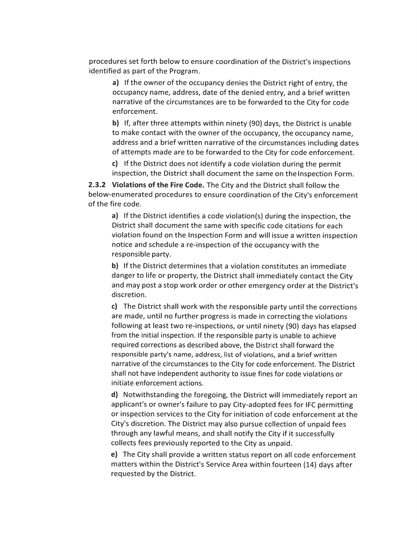procedures set forth below to ensure coordination of the District's inspections identified as par<sup>t</sup> of the Program.

a) If the owner of the occupancy denies the District right of entry, the occupancy name, address, date of the denied entry, and <sup>a</sup> brief written narrative of the circumstances are to be forwarded to the City for code enforcement.

b) If, after three attempts within ninety (90) days, the District is unable to make contact with the owner of the occupancy, the occupancy name, address and a brief written narrative of the circumstances including dates of attempts made are to be forwarded to the City for code enforcement.

c) If the District does not identify <sup>a</sup> code violation during the permit inspection, the District shall document the same on the Inspection Form.

2.3.2 Violations of the Fire Code. The City and the District shall follow the below-enumerated procedures to ensure coordination of the City's enforcement ofthe fire code.

a) If the District identifies <sup>a</sup> code violation(s) during the inspection, the District shall document the same with specific code citations for each violation found on the Inspection Form and will issue <sup>a</sup> written inspection notice and schedule <sup>a</sup> re-inspection of the occupancy with the responsible party.

b) If the District determines that <sup>a</sup> violation constitutes an immediate danger to life or property, the District shall immediately contact the City and may pos<sup>t</sup> <sup>a</sup> stop work order or other emergency order at the District's discretion.

c) The District shall work with the responsible party until the corrections are made, until no further progress is made in correcting the violations following at least two re-inspections, or until ninety (90) days has elapsed from the initial inspection. If the responsible party is unable to achieve required corrections as described above, the District shall forward the responsible party's name, address, list of violations, and <sup>a</sup> brief written narrative of the circumstances to the City for code enforcement. The District shall not have independent authority to issue fines for code violations or initiate enforcement actions.

d) Notwithstanding the foregoing, the District will immediately report an applicant's or owner's failure to pay City-adopted fees for IFC permitting or inspection services to the City for initiation of code enforcement at the City's discretion. The District may also pursue collection of unpaid fees through any lawful means, and shall notify the City if it successfully collects fees previously reported to the City as unpaid.

e) The City shall provide <sup>a</sup> written status repor<sup>t</sup> on all code enforcement matters within the District's Service Area within fourteen (14) days after requested by the District.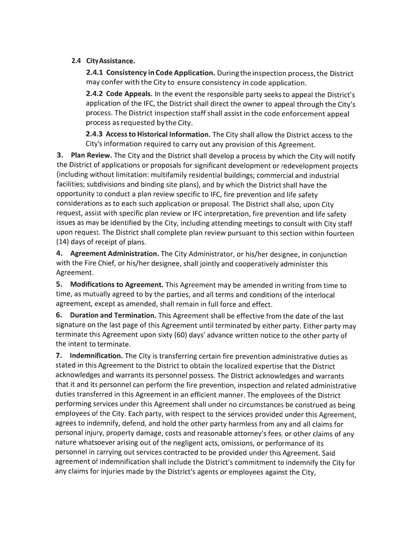## 2.4 CityAssistance.

2.4.1 Consistency in Code Application. Duringthe inspection process, the District may confer with the City to ensure consistency in code application.

2.4.2 Code Appeals. In the event the responsible party seeks to appeal the District's application of the IFC, the District shall direct the owner to appeal through the City's process. The District inspection staff shall assist in the code enforcement appeal process as requested bythe City.

2.4.3 Access to Historical Information. The City shall allow the District access to the City's information required to carry out any provision of this Agreement.

3. Plan Review. The City and the District shall develop <sup>a</sup> process by which the City will notify the District of applications or proposals for significant development or redevelopment projects (including without limitation: multifamily residential buildings; commercial and industrial facilities; subdivisions and binding site <sup>p</sup>lans), and by which the District shall have the opportunity to conduct <sup>a</sup> <sup>p</sup>lan review specific to IFC, fire prevention and life safety considerations as to each such application or proposal. The District shall also, upon City request, assist with specific <sup>p</sup>lan review or IFC interpretation, fire prevention and life safety issues as may be identified by the City, including attending meetings to consult with City staff upon request. The District shall complete <sup>p</sup>lan review pursuant to this section within fourteen (14) days of receipt of plans.

4. Agreement Administration. The City Administrator, or his/her designee, in conjunction with the Fire Chief, or his/her designee, shall jointly and cooperatively administer this Agreement.

5. Modifications to Agreement. This Agreement may be amended in writing from time to time, as mutually agreed to by the parties, and all terms and conditions of the interlocal agreement, except as amended, shall remain in full force and effect.

6. Duration and Termination. This Agreement shall be effective from the date of the last signature on the last page of this Agreement until terminated by either party. Either party may terminate this Agreement upon sixty (60) days' advance written notice to the other party of the intent to terminate.

7. Indemnification. The City is transferring certain fire prevention administrative duties as stated in this Agreement to the District to obtain the localized expertise that the District acknowledges and warrants its personnel possess. The District acknowledges and warrants that it and its personnel can perform the fire prevention, inspection and related administrative duties transferred in this Agreement in an efficient manner. The employees of the District performing services under this Agreement shall under no circumstances be construed as being employees of the City. Each party, with respect to the services provided under this Agreement, agrees to indemnify, defend, and hold the other party harmless from any and all claims for personal injury, property damage, costs and reasonable attorney's fees, or other claims of any nature whatsoever arising out of the negligent acts, omissions, or performance of its personnel in carrying out services contracted to be provided under this Agreement. Said agreement of indemnification shall include the District's commitment to indemnify the City for any claims for injuries made by the District's agents or employees against the City,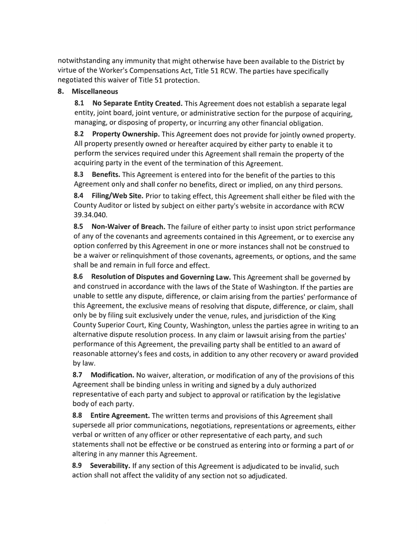notwithstanding any immunfty that might otherwise have been available to the District by virtue of the Worker's Compensations Act, Title <sup>51</sup> RCW. The parties have specifically negotiated this waiver of Title 51 protection.

## 8. Miscellaneous

8.1 No Separate Entity Created. This Agreement does not establish a separate legal entity, joint board, joint venture, or administrative section for the purpose of acquiring, managing, or disposing of property, or incurring any other financial obligation.

8.2 Property Ownership. This Agreement does not provide for jointly owned property. All property presently owned or hereafter acquired by either party to enable it to perform the services required under this Agreement shall remain the property of the acquiring party in the event of the termination of this Agreement.

8.3 Benefits. This Agreement is entered into for the benefit of the parties to this Agreement only and shall confer no benefits, direct or implied, on any third persons.

8.4 Filing/Web Site. Prior to taking effect, this Agreement shall either be filed with the County Auditor or listed by subject on either party's website in accordance with RCW 39.34.040.

8.5 Non-Waiver of Breach. The failure of either party to insist upon strict performance of any of the covenants and agreements contained in this Agreement, or to exercise any option conferred by this Agreement in one or more instances shall not be construed to be <sup>a</sup> waiver or relinquishment of those covenants, agreements, or options, and the same shall be and remain in full force and effect.

8.6 Resolution of Disputes and Governing Law. This Agreement shall be governed by and construed in accordance with the laws of the State of Washington. If the parties are unable to settle any dispute, difference, or claim arising from the parties' performance of this Agreement, the exclusive means of resolving that dispute, difference, or claim, shall only be by filing suit exclusively under the venue, rules, and jurisdiction of the King County Superior Court, King County, Washington, unless the parties agree in writing to an alternative dispute resolution process. In any claim or lawsuit arising from the parties' performance of this Agreement, the prevailing party shall be entitled to an award of reasonable attorney's fees and costs, in addition to any other recovery or award provided by law.

8.7 Modification. No waiver, alteration, or modification of any of the provisions of this Agreement shall be binding unless in writing and signed by <sup>a</sup> duly authorized representative of each party and subject to approval or ratification by the legislative body of each party.

8.8 Entire Agreement. The written terms and provisions of this Agreement shall supersede all prior communications, negotiations, representations or agreements, either verbal or written of any officer or other representative of each party, and such statements shall not be effective or be construed as entering into or forming <sup>a</sup> part of or altering in any manner this Agreement.

8.9 Severability. If any section of this Agreement is adjudicated to be invalid, such action shall not affect the validity of any section not so adjudicated.